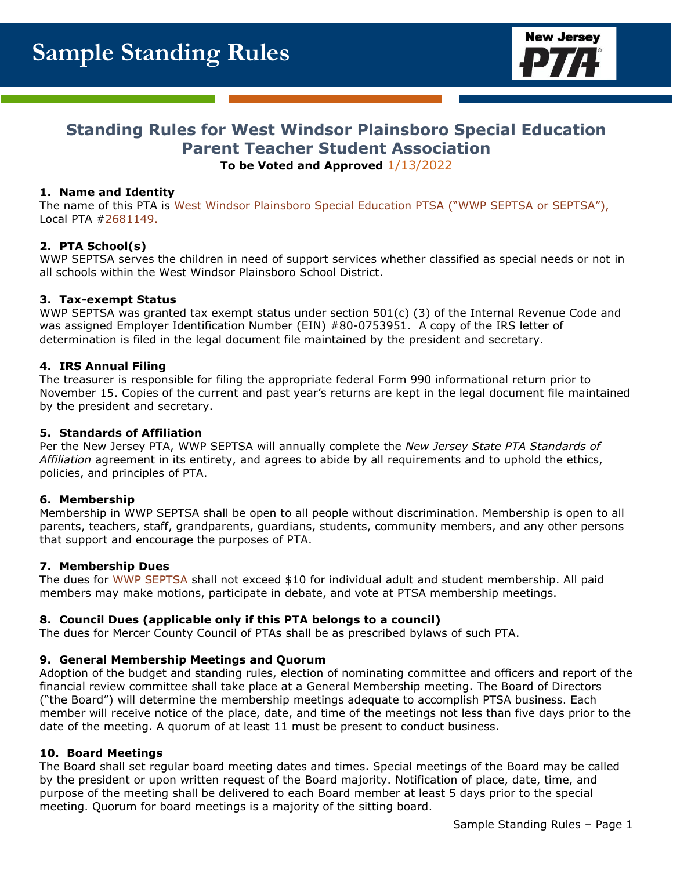

# **Standing Rules for West Windsor Plainsboro Special Education Parent Teacher Student Association To be Voted and Approved** 1/13/2022

#### **1. Name and Identity**

The name of this PTA is West Windsor Plainsboro Special Education PTSA ("WWP SEPTSA or SEPTSA"), Local PTA #2681149.

## **2. PTA School(s)**

WWP SEPTSA serves the children in need of support services whether classified as special needs or not in all schools within the West Windsor Plainsboro School District.

#### **3. Tax-exempt Status**

WWP SEPTSA was granted tax exempt status under section 501(c) (3) of the Internal Revenue Code and was assigned Employer Identification Number (EIN) #80-0753951. A copy of the IRS letter of determination is filed in the legal document file maintained by the president and secretary.

#### **4. IRS Annual Filing**

The treasurer is responsible for filing the appropriate federal Form 990 informational return prior to November 15. Copies of the current and past year's returns are kept in the legal document file maintained by the president and secretary.

#### **5. Standards of Affiliation**

Per the New Jersey PTA, WWP SEPTSA will annually complete the *New Jersey State PTA Standards of Affiliation* agreement in its entirety, and agrees to abide by all requirements and to uphold the ethics, policies, and principles of PTA.

#### **6. Membership**

Membership in WWP SEPTSA shall be open to all people without discrimination. Membership is open to all parents, teachers, staff, grandparents, guardians, students, community members, and any other persons that support and encourage the purposes of PTA.

#### **7. Membership Dues**

The dues for WWP SEPTSA shall not exceed \$10 for individual adult and student membership. All paid members may make motions, participate in debate, and vote at PTSA membership meetings.

## **8. Council Dues (applicable only if this PTA belongs to a council)**

The dues for Mercer County Council of PTAs shall be as prescribed bylaws of such PTA.

## **9. General Membership Meetings and Quorum**

Adoption of the budget and standing rules, election of nominating committee and officers and report of the financial review committee shall take place at a General Membership meeting. The Board of Directors ("the Board") will determine the membership meetings adequate to accomplish PTSA business. Each member will receive notice of the place, date, and time of the meetings not less than five days prior to the date of the meeting. A quorum of at least 11 must be present to conduct business.

#### **10. Board Meetings**

The Board shall set regular board meeting dates and times. Special meetings of the Board may be called by the president or upon written request of the Board majority. Notification of place, date, time, and purpose of the meeting shall be delivered to each Board member at least 5 days prior to the special meeting. Quorum for board meetings is a majority of the sitting board.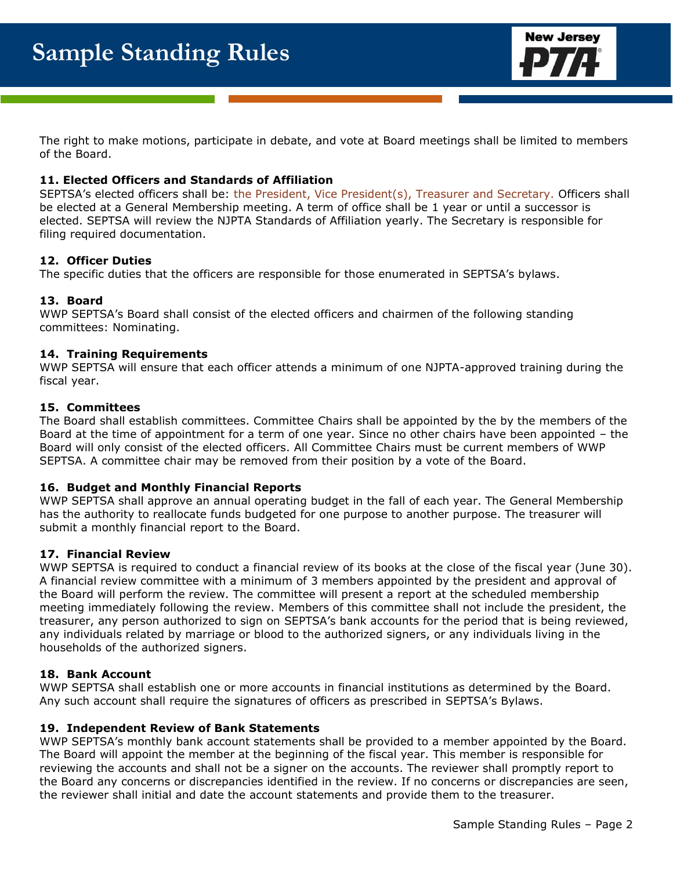

The right to make motions, participate in debate, and vote at Board meetings shall be limited to members of the Board.

# **11. Elected Officers and Standards of Affiliation**

SEPTSA's elected officers shall be: the President, Vice President(s), Treasurer and Secretary. Officers shall be elected at a General Membership meeting. A term of office shall be 1 year or until a successor is elected. SEPTSA will review the NJPTA Standards of Affiliation yearly. The Secretary is responsible for filing required documentation.

## **12. Officer Duties**

The specific duties that the officers are responsible for those enumerated in SEPTSA's bylaws.

## **13. Board**

WWP SEPTSA's Board shall consist of the elected officers and chairmen of the following standing committees: Nominating.

## **14. Training Requirements**

WWP SEPTSA will ensure that each officer attends a minimum of one NJPTA-approved training during the fiscal year.

## **15. Committees**

The Board shall establish committees. Committee Chairs shall be appointed by the by the members of the Board at the time of appointment for a term of one year. Since no other chairs have been appointed – the Board will only consist of the elected officers. All Committee Chairs must be current members of WWP SEPTSA. A committee chair may be removed from their position by a vote of the Board.

## **16. Budget and Monthly Financial Reports**

WWP SEPTSA shall approve an annual operating budget in the fall of each year. The General Membership has the authority to reallocate funds budgeted for one purpose to another purpose. The treasurer will submit a monthly financial report to the Board.

## **17. Financial Review**

WWP SEPTSA is required to conduct a financial review of its books at the close of the fiscal year (June 30). A financial review committee with a minimum of 3 members appointed by the president and approval of the Board will perform the review. The committee will present a report at the scheduled membership meeting immediately following the review. Members of this committee shall not include the president, the treasurer, any person authorized to sign on SEPTSA's bank accounts for the period that is being reviewed, any individuals related by marriage or blood to the authorized signers, or any individuals living in the households of the authorized signers.

#### **18. Bank Account**

WWP SEPTSA shall establish one or more accounts in financial institutions as determined by the Board. Any such account shall require the signatures of officers as prescribed in SEPTSA's Bylaws.

## **19. Independent Review of Bank Statements**

WWP SEPTSA's monthly bank account statements shall be provided to a member appointed by the Board. The Board will appoint the member at the beginning of the fiscal year. This member is responsible for reviewing the accounts and shall not be a signer on the accounts. The reviewer shall promptly report to the Board any concerns or discrepancies identified in the review. If no concerns or discrepancies are seen, the reviewer shall initial and date the account statements and provide them to the treasurer.